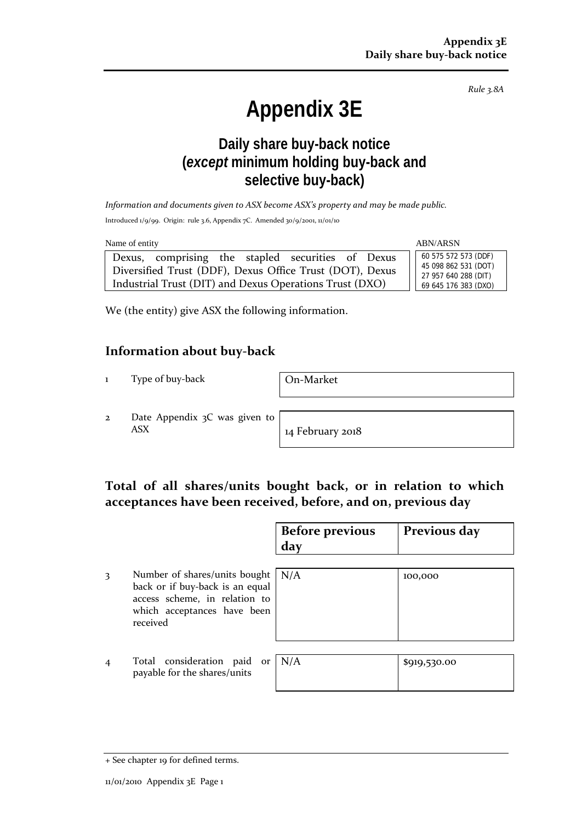*Rule 3.8A*

# **Appendix 3E**

## **Daily share buy-back notice (***except* **minimum holding buy-back and selective buy-back)**

*Information and documents given to ASX become ASX's property and may be made public.*

Introduced 1/9/99. Origin: rule 3.6, Appendix 7C. Amended 30/9/2001, 11/01/10

| Name of entity                                                                                                                                                           | <b>ABN/ARSN</b>                                                                              |
|--------------------------------------------------------------------------------------------------------------------------------------------------------------------------|----------------------------------------------------------------------------------------------|
| Dexus, comprising the stapled securities of Dexus<br>Diversified Trust (DDF), Dexus Office Trust (DOT), Dexus<br>Industrial Trust (DIT) and Dexus Operations Trust (DXO) | 60 575 572 573 (DDF)<br>45 098 862 531 (DOT)<br>27 957 640 288 (DIT)<br>69 645 176 383 (DXO) |

We (the entity) give ASX the following information.

#### **Information about buy-back**

1 Type of buy-back On-Market

2 Date Appendix 3C was given to ASX 14 February 2018

#### **Total of all shares/units bought back, or in relation to which acceptances have been received, before, and on, previous day**

|                |                                                                                                                                                      | <b>Before previous</b><br>day | Previous day |
|----------------|------------------------------------------------------------------------------------------------------------------------------------------------------|-------------------------------|--------------|
| 3              | Number of shares/units bought $  N/A$<br>back or if buy-back is an equal<br>access scheme, in relation to<br>which acceptances have been<br>received |                               | 100,000      |
| $\overline{4}$ | Total consideration paid or $N/A$<br>payable for the shares/units                                                                                    |                               | \$919,530.00 |

<sup>+</sup> See chapter 19 for defined terms.